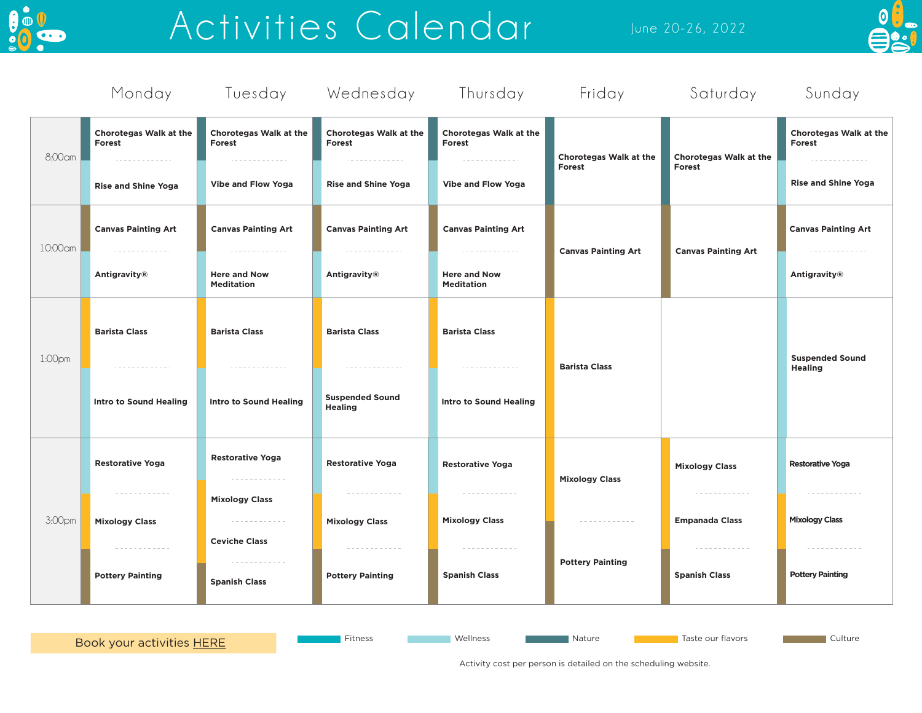

# Activities Calendar June 20-26, 2022



|         | Monday                                       |                                                                |                                                            | Tuesday Wednesday Thursday               | Friday                                                           | Saturday                              | Sunday                                       |
|---------|----------------------------------------------|----------------------------------------------------------------|------------------------------------------------------------|------------------------------------------|------------------------------------------------------------------|---------------------------------------|----------------------------------------------|
| 8:00 cm | <b>Chorotegas Walk at the</b><br>Forest<br>. | <b>Chorotegas Walk at the</b><br>Forest<br>.                   | <b>Chorotegas Walk at the</b><br>Forest<br>.               | Chorotegas Walk at the<br>Forest<br>.    | Chorotegas Walk at the<br>Forest                                 | Chorotegas Walk at the<br>Forest      | <b>Chorotegas Walk at the</b><br>Forest<br>. |
|         | <b>Rise and Shine Yoga</b>                   | <b>Vibe and Flow Yoga</b>                                      | <b>Rise and Shine Yoga</b>                                 | <b>Vibe and Flow Yoga</b>                |                                                                  |                                       | <b>Rise and Shine Yoga</b>                   |
| 10:00am | <b>Canvas Painting Art</b><br>. <u>.</u>     | <b>Canvas Painting Art</b><br>.                                | <b>Canvas Painting Art</b><br>.                            | <b>Canvas Painting Art</b><br>.          | <b>Canvas Painting Art</b>                                       | <b>Canvas Painting Art</b>            | <b>Canvas Painting Art</b><br>. <u>.</u> .   |
|         | Antigravity®                                 | <b>Here and Now</b><br><b>Meditation</b>                       | Antigravity®                                               | <b>Here and Now</b><br><b>Meditation</b> |                                                                  |                                       | Antigravity <sup>®</sup>                     |
| 1:00pm  | <b>Barista Class</b>                         | <b>Barista Class</b>                                           | <b>Barista Class</b>                                       | <b>Barista Class</b>                     | <b>Barista Class</b>                                             |                                       | <b>Suspended Sound</b><br><b>Healing</b>     |
|         | .<br><b>Intro to Sound Healing</b>           | .<br><b>Intro to Sound Healing</b>                             | --------------<br><b>Suspended Sound</b><br><b>Healing</b> | .<br><b>Intro to Sound Healing</b>       |                                                                  |                                       |                                              |
| 3:00pm  | <b>Restorative Yoga</b>                      | <b>Restorative Yoga</b><br>------------                        | <b>Restorative Yoga</b>                                    | <b>Restorative Yoga</b>                  | <b>Mixology Class</b><br>------------<br><b>Pottery Painting</b> | <b>Mixology Class</b>                 | <b>Restorative Yoga</b>                      |
|         | ------------<br><b>Mixology Class</b>        | <b>Mixology Class</b><br>-------------<br><b>Ceviche Class</b> | ------------<br><b>Mixology Class</b>                      | ------------<br><b>Mixology Class</b>    |                                                                  | ------------<br><b>Empanada Class</b> | ------------<br><b>Mixology Class</b>        |
|         | ------------<br><b>Pottery Painting</b>      | ------------<br><b>Spanish Class</b>                           | ------------<br><b>Pottery Painting</b>                    | ------------<br><b>Spanish Class</b>     |                                                                  | ------------<br><b>Spanish Class</b>  | ------------<br><b>Pottery Painting</b>      |
|         |                                              |                                                                |                                                            |                                          |                                                                  |                                       |                                              |

[Book your activities HERE](https://andazcostarica.as.me/) Fitness Fitness Wellness Nature Nature Taste our flavors and Culture Culture

Activity cost per person is detailed on the scheduling website.